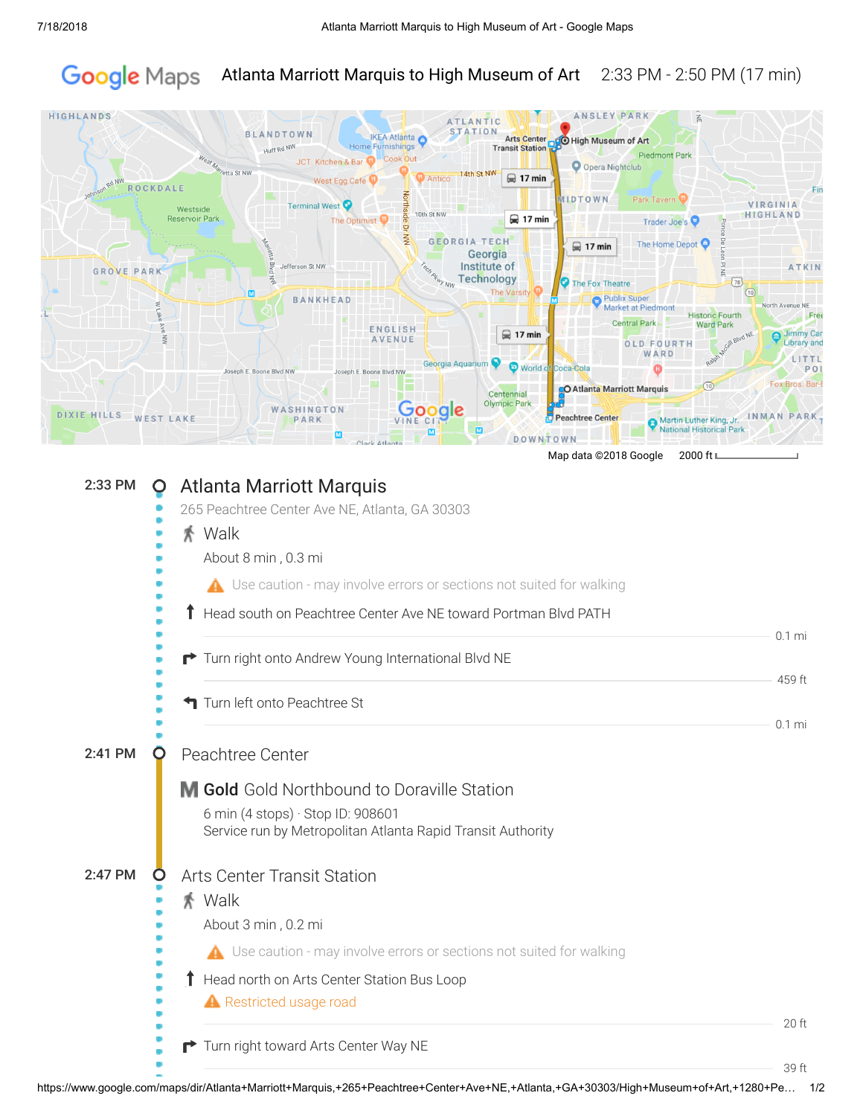## Google Maps Atlanta Marriott Marquis to High Museum of Art 2:33 PM - 2:50 PM (17 min)